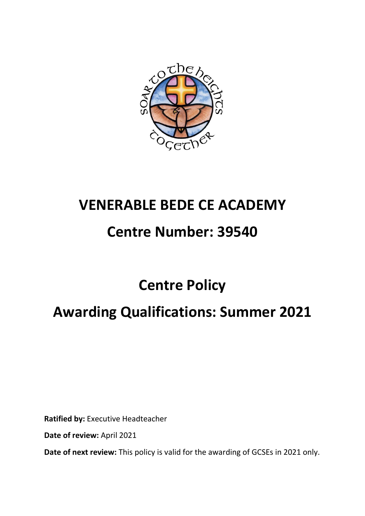

# **VENERABLE BEDE CE ACADEMY**

# **Centre Number: 39540**

# **Centre Policy**

# **Awarding Qualifications: Summer 2021**

**Ratified by:** Executive Headteacher

**Date of review:** April 2021

**Date of next review:** This policy is valid for the awarding of GCSEs in 2021 only.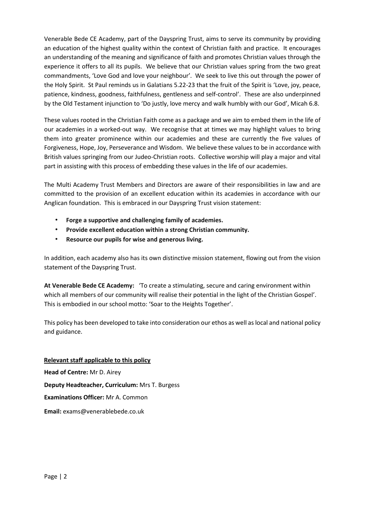Venerable Bede CE Academy, part of the Dayspring Trust, aims to serve its community by providing an education of the highest quality within the context of Christian faith and practice. It encourages an understanding of the meaning and significance of faith and promotes Christian values through the experience it offers to all its pupils. We believe that our Christian values spring from the two great commandments, 'Love God and love your neighbour'. We seek to live this out through the power of the Holy Spirit. St Paul reminds us in Galatians 5.22-23 that the fruit of the Spirit is 'Love, joy, peace, patience, kindness, goodness, faithfulness, gentleness and self-control'. These are also underpinned by the Old Testament injunction to 'Do justly, love mercy and walk humbly with our God', Micah 6.8.

These values rooted in the Christian Faith come as a package and we aim to embed them in the life of our academies in a worked-out way. We recognise that at times we may highlight values to bring them into greater prominence within our academies and these are currently the five values of Forgiveness, Hope, Joy, Perseverance and Wisdom. We believe these values to be in accordance with British values springing from our Judeo-Christian roots. Collective worship will play a major and vital part in assisting with this process of embedding these values in the life of our academies.

The Multi Academy Trust Members and Directors are aware of their responsibilities in law and are committed to the provision of an excellent education within its academies in accordance with our Anglican foundation. This is embraced in our Dayspring Trust vision statement:

- **Forge a supportive and challenging family of academies.**
- **Provide excellent education within a strong Christian community.**
- **Resource our pupils for wise and generous living.**

In addition, each academy also has its own distinctive mission statement, flowing out from the vision statement of the Dayspring Trust.

**At Venerable Bede CE Academy:** 'To create a stimulating, secure and caring environment within which all members of our community will realise their potential in the light of the Christian Gospel'. This is embodied in our school motto: 'Soar to the Heights Together'.

This policy has been developed to take into consideration our ethos as well as local and national policy and guidance.

**Relevant staff applicable to this policy Head of Centre:** Mr D. Airey **Deputy Headteacher, Curriculum:** Mrs T. Burgess **Examinations Officer:** Mr A. Common **Email:** exams@venerablebede.co.uk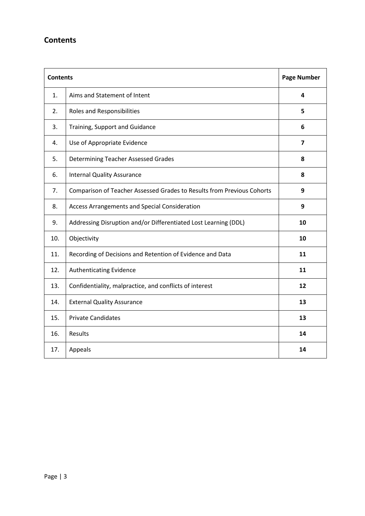## **Contents**

| <b>Contents</b> |                                                                        | <b>Page Number</b> |
|-----------------|------------------------------------------------------------------------|--------------------|
| 1.              | Aims and Statement of Intent                                           | 4                  |
| 2.              | <b>Roles and Responsibilities</b>                                      | 5                  |
| 3.              | Training, Support and Guidance                                         | 6                  |
| 4.              | Use of Appropriate Evidence                                            | $\overline{7}$     |
| 5.              | <b>Determining Teacher Assessed Grades</b>                             | 8                  |
| 6.              | <b>Internal Quality Assurance</b>                                      | 8                  |
| 7.              | Comparison of Teacher Assessed Grades to Results from Previous Cohorts | 9                  |
| 8.              | Access Arrangements and Special Consideration                          | 9                  |
| 9.              | Addressing Disruption and/or Differentiated Lost Learning (DDL)        | 10                 |
| 10.             | Objectivity                                                            | 10                 |
| 11.             | Recording of Decisions and Retention of Evidence and Data              | 11                 |
| 12.             | <b>Authenticating Evidence</b>                                         | 11                 |
| 13.             | Confidentiality, malpractice, and conflicts of interest                | 12                 |
| 14.             | <b>External Quality Assurance</b>                                      | 13                 |
| 15.             | <b>Private Candidates</b>                                              | 13                 |
| 16.             | Results                                                                | 14                 |
| 17.             | Appeals                                                                | 14                 |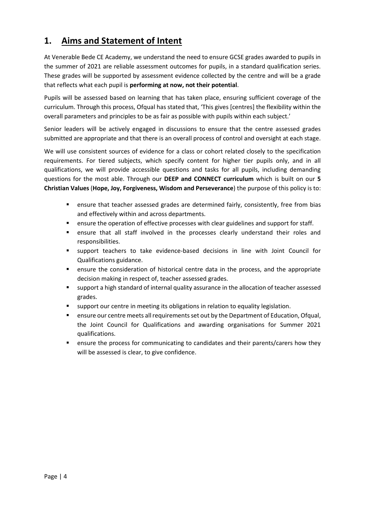## **1. Aims and Statement of Intent**

At Venerable Bede CE Academy, we understand the need to ensure GCSE grades awarded to pupils in the summer of 2021 are reliable assessment outcomes for pupils, in a standard qualification series. These grades will be supported by assessment evidence collected by the centre and will be a grade that reflects what each pupil is **performing at now, not their potential**.

Pupils will be assessed based on learning that has taken place, ensuring sufficient coverage of the curriculum. Through this process, Ofqual has stated that, 'This gives [centres] the flexibility within the overall parameters and principles to be as fair as possible with pupils within each subject.'

Senior leaders will be actively engaged in discussions to ensure that the centre assessed grades submitted are appropriate and that there is an overall process of control and oversight at each stage.

We will use consistent sources of evidence for a class or cohort related closely to the specification requirements. For tiered subjects, which specify content for higher tier pupils only, and in all qualifications, we will provide accessible questions and tasks for all pupils, including demanding questions for the most able. Through our **DEEP and CONNECT curriculum** which is built on our **5 Christian Values** (**Hope, Joy, Forgiveness, Wisdom and Perseverance**) the purpose of this policy is to:

- ensure that teacher assessed grades are determined fairly, consistently, free from bias and effectively within and across departments.
- ensure the operation of effective processes with clear guidelines and support for staff.
- ensure that all staff involved in the processes clearly understand their roles and responsibilities.
- support teachers to take evidence-based decisions in line with Joint Council for Qualifications guidance.
- ensure the consideration of historical centre data in the process, and the appropriate decision making in respect of, teacher assessed grades.
- support a high standard of internal quality assurance in the allocation of teacher assessed grades.
- support our centre in meeting its obligations in relation to equality legislation.
- ensure our centre meets all requirements set out by the Department of Education, Ofqual, the Joint Council for Qualifications and awarding organisations for Summer 2021 qualifications.
- ensure the process for communicating to candidates and their parents/carers how they will be assessed is clear, to give confidence.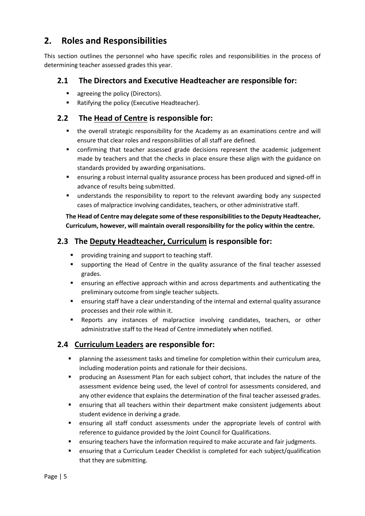## **2. Roles and Responsibilities**

This section outlines the personnel who have specific roles and responsibilities in the process of determining teacher assessed grades this year.

#### **2.1 The Directors and Executive Headteacher are responsible for:**

- agreeing the policy (Directors).
- Ratifying the policy (Executive Headteacher).

#### **2.2 The Head of Centre is responsible for:**

- the overall strategic responsibility for the Academy as an examinations centre and will ensure that clear roles and responsibilities of all staff are defined.
- confirming that teacher assessed grade decisions represent the academic judgement made by teachers and that the checks in place ensure these align with the guidance on standards provided by awarding organisations.
- ensuring a robust internal quality assurance process has been produced and signed-off in advance of results being submitted.
- understands the responsibility to report to the relevant awarding body any suspected cases of malpractice involving candidates, teachers, or other administrative staff.

#### **The Head of Centre may delegate some of these responsibilities to the Deputy Headteacher, Curriculum, however, will maintain overall responsibility for the policy within the centre.**

### **2.3 The Deputy Headteacher, Curriculum is responsible for:**

- providing training and support to teaching staff.
- supporting the Head of Centre in the quality assurance of the final teacher assessed grades.
- ensuring an effective approach within and across departments and authenticating the preliminary outcome from single teacher subjects.
- ensuring staff have a clear understanding of the internal and external quality assurance processes and their role within it.
- Reports any instances of malpractice involving candidates, teachers, or other administrative staff to the Head of Centre immediately when notified.

### **2.4 Curriculum Leaders are responsible for:**

- planning the assessment tasks and timeline for completion within their curriculum area, including moderation points and rationale for their decisions.
- producing an Assessment Plan for each subject cohort, that includes the nature of the assessment evidence being used, the level of control for assessments considered, and any other evidence that explains the determination of the final teacher assessed grades.
- ensuring that all teachers within their department make consistent judgements about student evidence in deriving a grade.
- ensuring all staff conduct assessments under the appropriate levels of control with reference to guidance provided by the Joint Council for Qualifications.
- ensuring teachers have the information required to make accurate and fair judgments.
- ensuring that a Curriculum Leader Checklist is completed for each subject/qualification that they are submitting.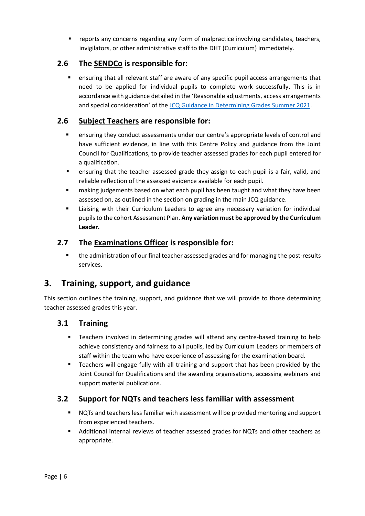reports any concerns regarding any form of malpractice involving candidates, teachers, invigilators, or other administrative staff to the DHT (Curriculum) immediately.

#### **2.6 The SENDCo is responsible for:**

 ensuring that all relevant staff are aware of any specific pupil access arrangements that need to be applied for individual pupils to complete work successfully. This is in accordance with guidance detailed in the 'Reasonable adjustments, access arrangements and special consideration' of the [JCQ Guidance in Determining Grades Summer 2021.](https://www.jcq.org.uk/wp-content/uploads/2021/03/JCQ-Guidance-on-the-Determination-of-Grades-for-A-AS-Levels-and-GCSEs-Summer-2021.pdf)

### **2.6 Subject Teachers are responsible for:**

- ensuring they conduct assessments under our centre's appropriate levels of control and have sufficient evidence, in line with this Centre Policy and guidance from the Joint Council for Qualifications, to provide teacher assessed grades for each pupil entered for a qualification.
- ensuring that the teacher assessed grade they assign to each pupil is a fair, valid, and reliable reflection of the assessed evidence available for each pupil.
- making judgements based on what each pupil has been taught and what they have been assessed on, as outlined in the section on grading in the main JCQ guidance.
- Liaising with their Curriculum Leaders to agree any necessary variation for individual pupils to the cohort Assessment Plan. **Any variation must be approved by the Curriculum Leader.**

#### **2.7 The Examinations Officer is responsible for:**

**•** the administration of our final teacher assessed grades and for managing the post-results services.

## **3. Training, support, and guidance**

This section outlines the training, support, and guidance that we will provide to those determining teacher assessed grades this year.

#### **3.1 Training**

- Teachers involved in determining grades will attend any centre-based training to help achieve consistency and fairness to all pupils, led by Curriculum Leaders or members of staff within the team who have experience of assessing for the examination board.
- Teachers will engage fully with all training and support that has been provided by the Joint Council for Qualifications and the awarding organisations, accessing webinars and support material publications.

#### **3.2 Support for NQTs and teachers less familiar with assessment**

- NQTs and teachers less familiar with assessment will be provided mentoring and support from experienced teachers.
- Additional internal reviews of teacher assessed grades for NQTs and other teachers as appropriate.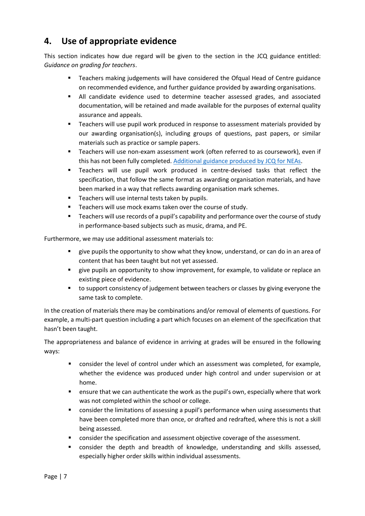# **4. Use of appropriate evidence**

This section indicates how due regard will be given to the section in the JCQ guidance entitled: *Guidance on grading for teachers*.

- Teachers making judgements will have considered the Ofqual Head of Centre guidance on recommended evidence, and further guidance provided by awarding organisations.
- All candidate evidence used to determine teacher assessed grades, and associated documentation, will be retained and made available for the purposes of external quality assurance and appeals.
- Teachers will use pupil work produced in response to assessment materials provided by our awarding organisation(s), including groups of questions, past papers, or similar materials such as practice or sample papers.
- **Teachers will use non-exam assessment work (often referred to as coursework), even if** this has not been fully completed. [Additional guidance produced by JCQ for NEAs.](https://www.jcq.org.uk/wp-content/uploads/2021/03/Notice-to-Centres-NEA-June-2021-v2-1.pdf)
- Teachers will use pupil work produced in centre-devised tasks that reflect the specification, that follow the same format as awarding organisation materials, and have been marked in a way that reflects awarding organisation mark schemes.
- Teachers will use internal tests taken by pupils.
- Teachers will use mock exams taken over the course of study.
- Teachers will use records of a pupil's capability and performance over the course of study in performance-based subjects such as music, drama, and PE.

Furthermore, we may use additional assessment materials to:

- give pupils the opportunity to show what they know, understand, or can do in an area of content that has been taught but not yet assessed.
- give pupils an opportunity to show improvement, for example, to validate or replace an existing piece of evidence.
- to support consistency of judgement between teachers or classes by giving everyone the same task to complete.

In the creation of materials there may be combinations and/or removal of elements of questions. For example, a multi-part question including a part which focuses on an element of the specification that hasn't been taught.

The appropriateness and balance of evidence in arriving at grades will be ensured in the following ways:

- consider the level of control under which an assessment was completed, for example, whether the evidence was produced under high control and under supervision or at home.
- ensure that we can authenticate the work as the pupil's own, especially where that work was not completed within the school or college.
- consider the limitations of assessing a pupil's performance when using assessments that have been completed more than once, or drafted and redrafted, where this is not a skill being assessed.
- **•** consider the specification and assessment objective coverage of the assessment.
- consider the depth and breadth of knowledge, understanding and skills assessed, especially higher order skills within individual assessments.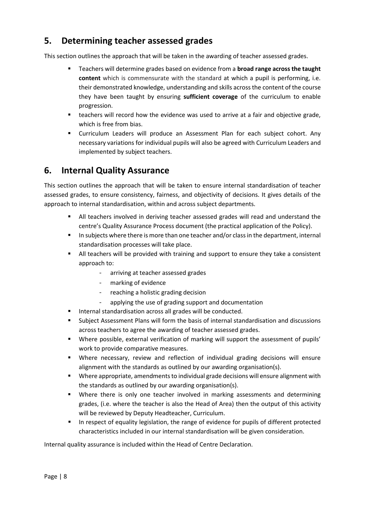## **5. Determining teacher assessed grades**

This section outlines the approach that will be taken in the awarding of teacher assessed grades.

- Teachers will determine grades based on evidence from a **broad range across the taught content** which is commensurate with the standard at which a pupil is performing, i.e. their demonstrated knowledge, understanding and skills across the content of the course they have been taught by ensuring **sufficient coverage** of the curriculum to enable progression.
- **EXE** teachers will record how the evidence was used to arrive at a fair and objective grade, which is free from bias.
- Curriculum Leaders will produce an Assessment Plan for each subject cohort. Any necessary variations for individual pupils will also be agreed with Curriculum Leaders and implemented by subject teachers.

## **6. Internal Quality Assurance**

This section outlines the approach that will be taken to ensure internal standardisation of teacher assessed grades, to ensure consistency, fairness, and objectivity of decisions. It gives details of the approach to internal standardisation, within and across subject departments.

- All teachers involved in deriving teacher assessed grades will read and understand the centre's Quality Assurance Process document (the practical application of the Policy).
- **In subjects where there is more than one teacher and/or class in the department, internal** standardisation processes will take place.
- All teachers will be provided with training and support to ensure they take a consistent approach to:
	- arriving at teacher assessed grades
	- marking of evidence
	- reaching a holistic grading decision
	- applying the use of grading support and documentation
- **Internal standardisation across all grades will be conducted.**
- Subject Assessment Plans will form the basis of internal standardisation and discussions across teachers to agree the awarding of teacher assessed grades.
- Where possible, external verification of marking will support the assessment of pupils' work to provide comparative measures.
- Where necessary, review and reflection of individual grading decisions will ensure alignment with the standards as outlined by our awarding organisation(s).
- Where appropriate, amendments to individual grade decisions will ensure alignment with the standards as outlined by our awarding organisation(s).
- Where there is only one teacher involved in marking assessments and determining grades, (i.e. where the teacher is also the Head of Area) then the output of this activity will be reviewed by Deputy Headteacher, Curriculum.
- In respect of equality legislation, the range of evidence for pupils of different protected characteristics included in our internal standardisation will be given consideration.

Internal quality assurance is included within the Head of Centre Declaration.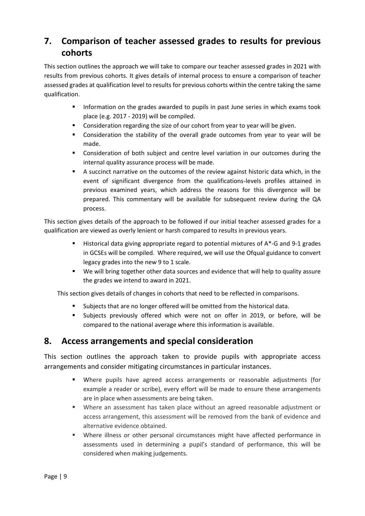# **7. Comparison of teacher assessed grades to results for previous cohorts**

This section outlines the approach we will take to compare our teacher assessed grades in 2021 with results from previous cohorts. It gives details of internal process to ensure a comparison of teacher assessed grades at qualification level to results for previous cohorts within the centre taking the same qualification.

- Information on the grades awarded to pupils in past June series in which exams took place (e.g. 2017 - 2019) will be compiled.
- Consideration regarding the size of our cohort from year to year will be given.
- Consideration the stability of the overall grade outcomes from year to year will be made.
- Consideration of both subject and centre level variation in our outcomes during the internal quality assurance process will be made.
- A succinct narrative on the outcomes of the review against historic data which, in the event of significant divergence from the qualifications-levels profiles attained in previous examined years, which address the reasons for this divergence will be prepared. This commentary will be available for subsequent review during the QA process.

This section gives details of the approach to be followed if our initial teacher assessed grades for a qualification are viewed as overly lenient or harsh compared to results in previous years.

- Historical data giving appropriate regard to potential mixtures of A\*-G and 9-1 grades in GCSEs will be compiled. Where required, we will use the Ofqual guidance to convert legacy grades into the new 9 to 1 scale.
- We will bring together other data sources and evidence that will help to quality assure the grades we intend to award in 2021.

This section gives details of changes in cohorts that need to be reflected in comparisons.

- Subjects that are no longer offered will be omitted from the historical data.
- Subjects previously offered which were not on offer in 2019, or before, will be compared to the national average where this information is available.

## **8. Access arrangements and special consideration**

This section outlines the approach taken to provide pupils with appropriate access arrangements and consider mitigating circumstances in particular instances.

- Where pupils have agreed access arrangements or reasonable adjustments (for example a reader or scribe), every effort will be made to ensure these arrangements are in place when assessments are being taken.
- Where an assessment has taken place without an agreed reasonable adjustment or access arrangement, this assessment will be removed from the bank of evidence and alternative evidence obtained.
- Where illness or other personal circumstances might have affected performance in assessments used in determining a pupil's standard of performance, this will be considered when making judgements.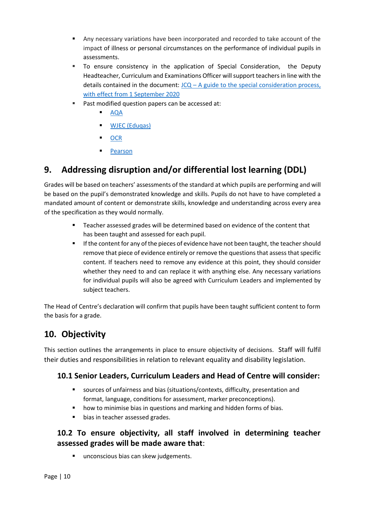- Any necessary variations have been incorporated and recorded to take account of the impact of illness or personal circumstances on the performance of individual pupils in assessments.
- To ensure consistency in the application of Special Consideration, the Deputy Headteacher, Curriculum and Examinations Officer will support teachers in line with the details contained in the document:  $JCQ - A$  guide to the special consideration process, [with effect from 1 September 2020](https://www.jcq.org.uk/wp-content/uploads/2020/08/A-guide-to-the-spec-con-process-202021-Website-version.pdf)
- Past modified question papers can be accessed at:
	- [AQA](https://extranet.aqa.org.uk/)
	- **WJEC (Edugas)**
	- **[OCR](https://www.ocr.org.uk/qualifications/past-paper-finder/)**
	- [Pearson](https://qualifications.pearson.com/en/support/support-topics/exams/past-papers.html)

## **9. Addressing disruption and/or differential lost learning (DDL)**

Grades will be based on teachers' assessments of the standard at which pupils are performing and will be based on the pupil's demonstrated knowledge and skills. Pupils do not have to have completed a mandated amount of content or demonstrate skills, knowledge and understanding across every area of the specification as they would normally.

- Teacher assessed grades will be determined based on evidence of the content that has been taught and assessed for each pupil.
- If the content for any of the pieces of evidence have not been taught, the teacher should remove that piece of evidence entirely or remove the questions that assess that specific content. If teachers need to remove any evidence at this point, they should consider whether they need to and can replace it with anything else. Any necessary variations for individual pupils will also be agreed with Curriculum Leaders and implemented by subject teachers.

The Head of Centre's declaration will confirm that pupils have been taught sufficient content to form the basis for a grade.

# **10. Objectivity**

This section outlines the arrangements in place to ensure objectivity of decisions. Staff will fulfil their duties and responsibilities in relation to relevant equality and disability legislation.

### **10.1 Senior Leaders, Curriculum Leaders and Head of Centre will consider:**

- sources of unfairness and bias (situations/contexts, difficulty, presentation and format, language, conditions for assessment, marker preconceptions).
- how to minimise bias in questions and marking and hidden forms of bias.
- **bias in teacher assessed grades.**

## **10.2 To ensure objectivity, all staff involved in determining teacher assessed grades will be made aware that**:

unconscious bias can skew judgements.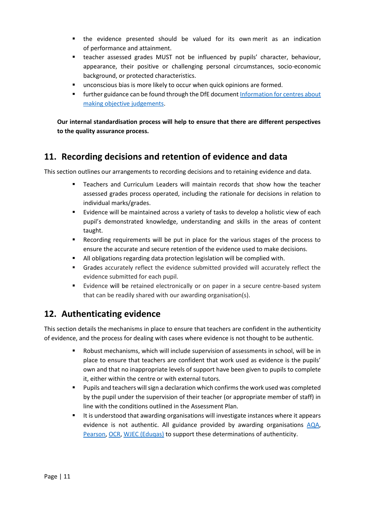- the evidence presented should be valued for its own merit as an indication of performance and attainment.
- teacher assessed grades MUST not be influenced by pupils' character, behaviour, appearance, their positive or challenging personal circumstances, socio-economic background, or protected characteristics.
- **unconscious bias is more likely to occur when quick opinions are formed.**
- **Further guidance can be found through the DfE document Information for centres about** [making objective judgements.](https://assets.publishing.service.gov.uk/government/uploads/system/uploads/attachment_data/file/972286/6768-5-Information_for_centres_about_making_objective_judgements_2021.pdf)

**Our internal standardisation process will help to ensure that there are different perspectives to the quality assurance process.** 

## **11. Recording decisions and retention of evidence and data**

This section outlines our arrangements to recording decisions and to retaining evidence and data.

- Teachers and Curriculum Leaders will maintain records that show how the teacher assessed grades process operated, including the rationale for decisions in relation to individual marks/grades.
- Evidence will be maintained across a variety of tasks to develop a holistic view of each pupil's demonstrated knowledge, understanding and skills in the areas of content taught.
- Recording requirements will be put in place for the various stages of the process to ensure the accurate and secure retention of the evidence used to make decisions.
- All obligations regarding data protection legislation will be complied with.
- Grades accurately reflect the evidence submitted provided will accurately reflect the evidence submitted for each pupil.
- Evidence will be retained electronically or on paper in a secure centre-based system that can be readily shared with our awarding organisation(s).

## **12. Authenticating evidence**

This section details the mechanisms in place to ensure that teachers are confident in the authenticity of evidence, and the process for dealing with cases where evidence is not thought to be authentic.

- Robust mechanisms, which will include supervision of assessments in school, will be in place to ensure that teachers are confident that work used as evidence is the pupils' own and that no inappropriate levels of support have been given to pupils to complete it, either within the centre or with external tutors.
- **Pupils and teachers will sign a declaration which confirms the work used was completed** by the pupil under the supervision of their teacher (or appropriate member of staff) in line with the conditions outlined in the Assessment Plan.
- It is understood that awarding organisations will investigate instances where it appears evidence is not authentic. All guidance provided by awarding organisations [AQA,](https://www.aqa.org.uk/2021-exam-changes) [Pearson,](https://qualifications.pearson.com/en/campaigns/summer-2021-support.html?utm_source=homepage&utm_medium=referral&utm_campaign=GBSEGS0820SUM21) [OCR,](https://www.ocr.org.uk/everything-you-need-to-know-for-summer-2021/senior-leadership-teams/) [WJEC \(Eduqas\)](https://www.eduqas.co.uk/home/summer-2021-information-and-updates/) to support these determinations of authenticity.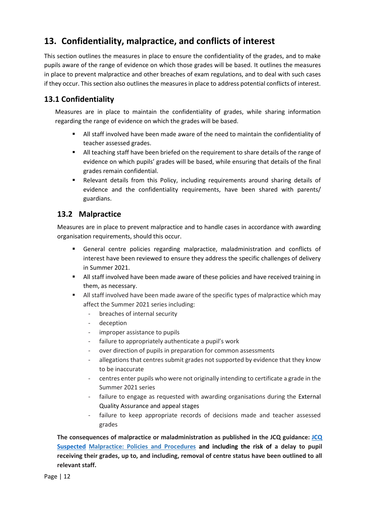# **13. Confidentiality, malpractice, and conflicts of interest**

This section outlines the measures in place to ensure the confidentiality of the grades, and to make pupils aware of the range of evidence on which those grades will be based. It outlines the measures in place to prevent malpractice and other breaches of exam regulations, and to deal with such cases if they occur. This section also outlines the measures in place to address potential conflicts of interest.

## **13.1 Confidentiality**

Measures are in place to maintain the confidentiality of grades, while sharing information regarding the range of evidence on which the grades will be based.

- All staff involved have been made aware of the need to maintain the confidentiality of teacher assessed grades.
- All teaching staff have been briefed on the requirement to share details of the range of evidence on which pupils' grades will be based, while ensuring that details of the final grades remain confidential.
- Relevant details from this Policy, including requirements around sharing details of evidence and the confidentiality requirements, have been shared with parents/ guardians.

#### **13.2 Malpractice**

Measures are in place to prevent malpractice and to handle cases in accordance with awarding organisation requirements, should this occur.

- General centre policies regarding malpractice, maladministration and conflicts of interest have been reviewed to ensure they address the specific challenges of delivery in Summer 2021.
- **All staff involved have been made aware of these policies and have received training in** them, as necessary.
- All staff involved have been made aware of the specific types of malpractice which may affect the Summer 2021 series including:
	- breaches of internal security
	- deception
	- improper assistance to pupils
	- failure to appropriately authenticate a pupil's work
	- over direction of pupils in preparation for common assessments
	- allegations that centres submit grades not supported by evidence that they know to be inaccurate
	- centres enter pupils who were not originally intending to certificate a grade in the Summer 2021 series
	- failure to engage as requested with awarding organisations during the External Quality Assurance and appeal stages
	- failure to keep appropriate records of decisions made and teacher assessed grades

**The consequences of malpractice or maladministration as published in the JCQ guidance: [JCQ](https://www.jcq.org.uk/exams-office/malpractice/jcq-suspected-malpractice-policies-and-procedures-2019-2020)  [Suspected](https://www.jcq.org.uk/exams-office/malpractice/jcq-suspected-malpractice-policies-and-procedures-2019-2020) Malpractice: Policies and Procedures and including the risk of a delay to pupil receiving their grades, up to, and including, removal of centre status have been outlined to all relevant staff.**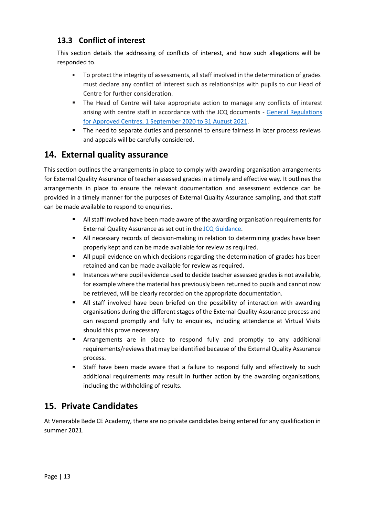#### **13.3 Conflict of interest**

This section details the addressing of conflicts of interest, and how such allegations will be responded to.

- To protect the integrity of assessments, all staff involved in the determination of grades must declare any conflict of interest such as relationships with pupils to our Head of Centre for further consideration.
- The Head of Centre will take appropriate action to manage any conflicts of interest arising with centre staff in accordance with the JCQ documents - [General Regulations](https://www.jcq.org.uk/wp-content/uploads/2020/09/Gen_regs_approved_centres_20-21_FINAL.pdf)  [for Approved Centres, 1 September 2020 to 31 August](https://www.jcq.org.uk/wp-content/uploads/2020/09/Gen_regs_approved_centres_20-21_FINAL.pdf) 2021.
- **The need to separate duties and personnel to ensure fairness in later process reviews** and appeals will be carefully considered.

## **14. External quality assurance**

This section outlines the arrangements in place to comply with awarding organisation arrangements for External Quality Assurance of teacher assessed grades in a timely and effective way. It outlines the arrangements in place to ensure the relevant documentation and assessment evidence can be provided in a timely manner for the purposes of External Quality Assurance sampling, and that staff can be made available to respond to enquiries.

- All staff involved have been made aware of the awarding organisation requirements for External Quality Assurance as set out in the JCQ [Guidance.](https://www.jcq.org.uk/wp-content/uploads/2021/03/JCQ-Guidance-on-the-Determination-of-Grades-for-A-AS-Levels-and-GCSEs-Summer-2021.pdf)
- All necessary records of decision-making in relation to determining grades have been properly kept and can be made available for review as required.
- All pupil evidence on which decisions regarding the determination of grades has been retained and can be made available for review as required.
- **Instances where pupil evidence used to decide teacher assessed grades is not available,** for example where the material has previously been returned to pupils and cannot now be retrieved, will be clearly recorded on the appropriate documentation.
- All staff involved have been briefed on the possibility of interaction with awarding organisations during the different stages of the External Quality Assurance process and can respond promptly and fully to enquiries, including attendance at Virtual Visits should this prove necessary.
- Arrangements are in place to respond fully and promptly to any additional requirements/reviews that may be identified because of the External Quality Assurance process.
- Staff have been made aware that a failure to respond fully and effectively to such additional requirements may result in further action by the awarding organisations, including the withholding of results.

## **15. Private Candidates**

At Venerable Bede CE Academy, there are no private candidates being entered for any qualification in summer 2021.